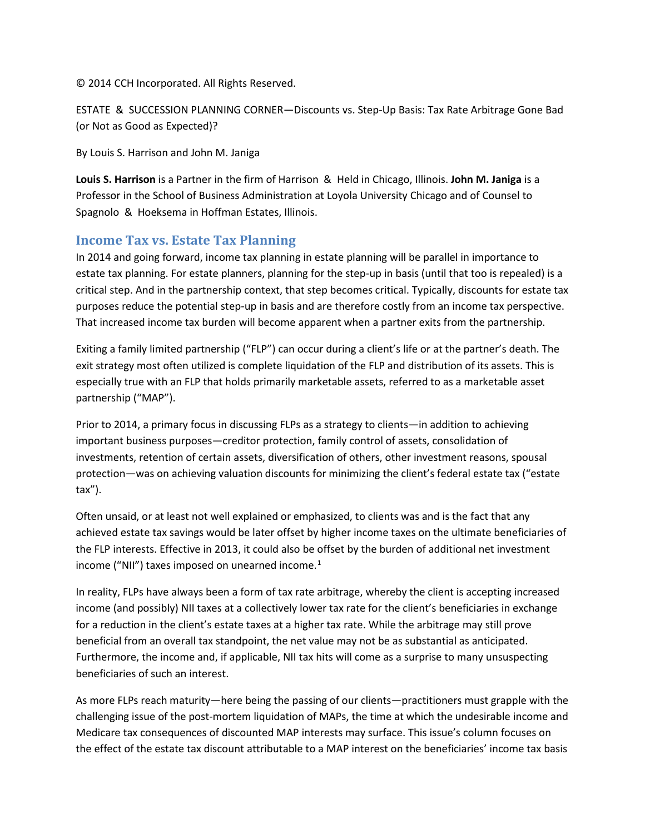© 2014 CCH Incorporated. All Rights Reserved.

ESTATE & SUCCESSION PLANNING CORNER—Discounts vs. Step-Up Basis: Tax Rate Arbitrage Gone Bad (or Not as Good as Expected)?

By Louis S. Harrison and John M. Janiga

**Louis S. Harrison** is a Partner in the firm of Harrison & Held in Chicago, Illinois. **John M. Janiga** is a Professor in the School of Business Administration at Loyola University Chicago and of Counsel to Spagnolo & Hoeksema in Hoffman Estates, Illinois.

### **Income Tax vs. Estate Tax Planning**

In 2014 and going forward, income tax planning in estate planning will be parallel in importance to estate tax planning. For estate planners, planning for the step-up in basis (until that too is repealed) is a critical step. And in the partnership context, that step becomes critical. Typically, discounts for estate tax purposes reduce the potential step-up in basis and are therefore costly from an income tax perspective. That increased income tax burden will become apparent when a partner exits from the partnership.

Exiting a family limited partnership ("FLP") can occur during a client's life or at the partner's death. The exit strategy most often utilized is complete liquidation of the FLP and distribution of its assets. This is especially true with an FLP that holds primarily marketable assets, referred to as a marketable asset partnership ("MAP").

Prior to 2014, a primary focus in discussing FLPs as a strategy to clients—in addition to achieving important business purposes—creditor protection, family control of assets, consolidation of investments, retention of certain assets, diversification of others, other investment reasons, spousal protection—was on achieving valuation discounts for minimizing the client's federal estate tax ("estate tax").

Often unsaid, or at least not well explained or emphasized, to clients was and is the fact that any achieved estate tax savings would be later offset by higher income taxes on the ultimate beneficiaries of the FLP interests. Effective in 2013, it could also be offset by the burden of additional net investment income ("NII") taxes imposed on unearned income. $<sup>1</sup>$  $<sup>1</sup>$  $<sup>1</sup>$ </sup>

In reality, FLPs have always been a form of tax rate arbitrage, whereby the client is accepting increased income (and possibly) NII taxes at a collectively lower tax rate for the client's beneficiaries in exchange for a reduction in the client's estate taxes at a higher tax rate. While the arbitrage may still prove beneficial from an overall tax standpoint, the net value may not be as substantial as anticipated. Furthermore, the income and, if applicable, NII tax hits will come as a surprise to many unsuspecting beneficiaries of such an interest.

As more FLPs reach maturity—here being the passing of our clients—practitioners must grapple with the challenging issue of the post-mortem liquidation of MAPs, the time at which the undesirable income and Medicare tax consequences of discounted MAP interests may surface. This issue's column focuses on the effect of the estate tax discount attributable to a MAP interest on the beneficiaries' income tax basis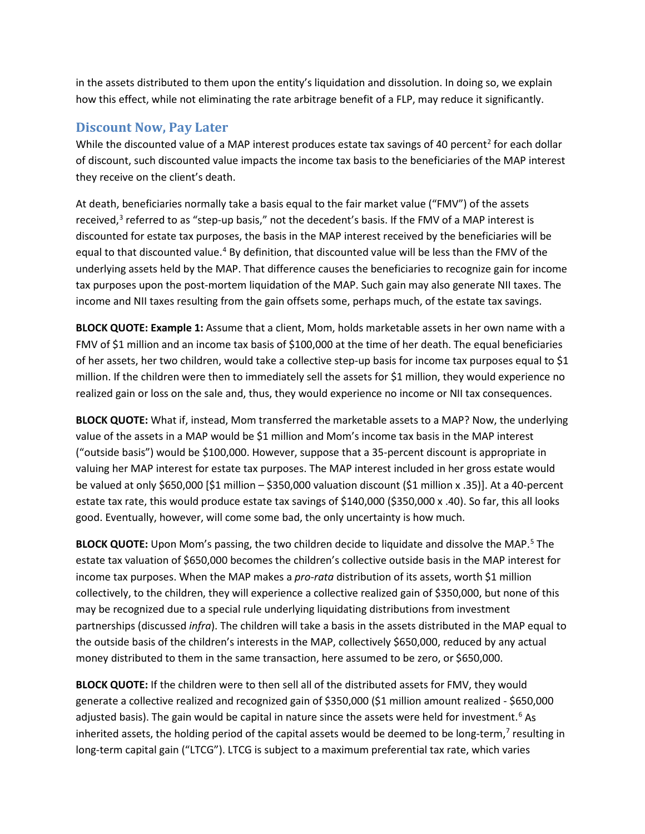in the assets distributed to them upon the entity's liquidation and dissolution. In doing so, we explain how this effect, while not eliminating the rate arbitrage benefit of a FLP, may reduce it significantly.

#### **Discount Now, Pay Later**

While the discounted value of a MAP interest produces estate tax savings of 40 percent<sup>[2](#page-8-0)</sup> for each dollar of discount, such discounted value impacts the income tax basis to the beneficiaries of the MAP interest they receive on the client's death.

At death, beneficiaries normally take a basis equal to the fair market value ("FMV") of the assets received, $3$  referred to as "step-up basis," not the decedent's basis. If the FMV of a MAP interest is discounted for estate tax purposes, the basis in the MAP interest received by the beneficiaries will be equal to that discounted value.<sup>[4](#page-8-2)</sup> By definition, that discounted value will be less than the FMV of the underlying assets held by the MAP. That difference causes the beneficiaries to recognize gain for income tax purposes upon the post-mortem liquidation of the MAP. Such gain may also generate NII taxes. The income and NII taxes resulting from the gain offsets some, perhaps much, of the estate tax savings.

**BLOCK QUOTE: Example 1:** Assume that a client, Mom, holds marketable assets in her own name with a FMV of \$1 million and an income tax basis of \$100,000 at the time of her death. The equal beneficiaries of her assets, her two children, would take a collective step-up basis for income tax purposes equal to \$1 million. If the children were then to immediately sell the assets for \$1 million, they would experience no realized gain or loss on the sale and, thus, they would experience no income or NII tax consequences.

**BLOCK QUOTE:** What if, instead, Mom transferred the marketable assets to a MAP? Now, the underlying value of the assets in a MAP would be \$1 million and Mom's income tax basis in the MAP interest ("outside basis") would be \$100,000. However, suppose that a 35-percent discount is appropriate in valuing her MAP interest for estate tax purposes. The MAP interest included in her gross estate would be valued at only \$650,000 [\$1 million – \$350,000 valuation discount (\$1 million x .35)]. At a 40-percent estate tax rate, this would produce estate tax savings of \$140,000 (\$350,000 x .40). So far, this all looks good. Eventually, however, will come some bad, the only uncertainty is how much.

**BLOCK QUOTE:** Upon Mom's passing, the two children decide to liquidate and dissolve the MAP.<sup>[5](#page-8-3)</sup> The estate tax valuation of \$650,000 becomes the children's collective outside basis in the MAP interest for income tax purposes. When the MAP makes a *pro-rata* distribution of its assets, worth \$1 million collectively, to the children, they will experience a collective realized gain of \$350,000, but none of this may be recognized due to a special rule underlying liquidating distributions from investment partnerships (discussed *infra*). The children will take a basis in the assets distributed in the MAP equal to the outside basis of the children's interests in the MAP, collectively \$650,000, reduced by any actual money distributed to them in the same transaction, here assumed to be zero, or \$650,000.

**BLOCK QUOTE:** If the children were to then sell all of the distributed assets for FMV, they would generate a collective realized and recognized gain of \$350,000 (\$1 million amount realized - \$650,000 adjusted basis). The gain would be capital in nature since the assets were held for investment.<sup>[6](#page-8-4)</sup> As inherited assets, the holding period of the capital assets would be deemed to be long-term,<sup>[7](#page-8-5)</sup> resulting in long-term capital gain ("LTCG"). LTCG is subject to a maximum preferential tax rate, which varies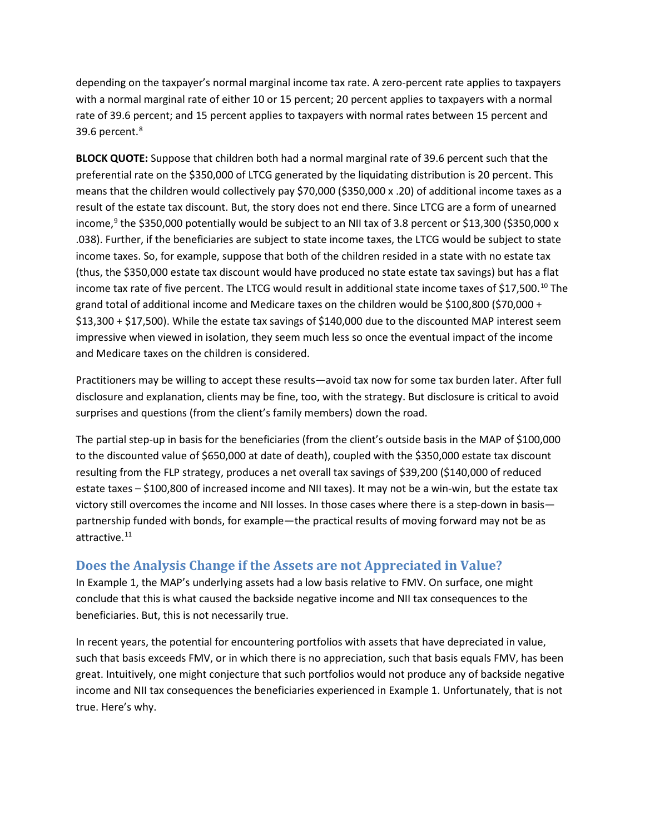depending on the taxpayer's normal marginal income tax rate. A zero-percent rate applies to taxpayers with a normal marginal rate of either 10 or 15 percent; 20 percent applies to taxpayers with a normal rate of 39.6 percent; and 15 percent applies to taxpayers with normal rates between 15 percent and 39.6 percent.[8](#page-8-6)

**BLOCK QUOTE:** Suppose that children both had a normal marginal rate of 39.6 percent such that the preferential rate on the \$350,000 of LTCG generated by the liquidating distribution is 20 percent. This means that the children would collectively pay \$70,000 (\$350,000 x .20) of additional income taxes as a result of the estate tax discount. But, the story does not end there. Since LTCG are a form of unearned income,<sup>[9](#page-8-7)</sup> the \$350,000 potentially would be subject to an NII tax of 3.8 percent or \$13,300 (\$350,000 x .038). Further, if the beneficiaries are subject to state income taxes, the LTCG would be subject to state income taxes. So, for example, suppose that both of the children resided in a state with no estate tax (thus, the \$350,000 estate tax discount would have produced no state estate tax savings) but has a flat income tax rate of five percent. The LTCG would result in additional state income taxes of \$17,500.<sup>[10](#page-8-8)</sup> The grand total of additional income and Medicare taxes on the children would be \$100,800 (\$70,000 + \$13,300 + \$17,500). While the estate tax savings of \$140,000 due to the discounted MAP interest seem impressive when viewed in isolation, they seem much less so once the eventual impact of the income and Medicare taxes on the children is considered.

Practitioners may be willing to accept these results—avoid tax now for some tax burden later. After full disclosure and explanation, clients may be fine, too, with the strategy. But disclosure is critical to avoid surprises and questions (from the client's family members) down the road.

The partial step-up in basis for the beneficiaries (from the client's outside basis in the MAP of \$100,000 to the discounted value of \$650,000 at date of death), coupled with the \$350,000 estate tax discount resulting from the FLP strategy, produces a net overall tax savings of \$39,200 (\$140,000 of reduced estate taxes – \$100,800 of increased income and NII taxes). It may not be a win-win, but the estate tax victory still overcomes the income and NII losses. In those cases where there is a step-down in basis partnership funded with bonds, for example—the practical results of moving forward may not be as attractive.[11](#page-8-9)

## **Does the Analysis Change if the Assets are not Appreciated in Value?**

In Example 1, the MAP's underlying assets had a low basis relative to FMV. On surface, one might conclude that this is what caused the backside negative income and NII tax consequences to the beneficiaries. But, this is not necessarily true.

In recent years, the potential for encountering portfolios with assets that have depreciated in value, such that basis exceeds FMV, or in which there is no appreciation, such that basis equals FMV, has been great. Intuitively, one might conjecture that such portfolios would not produce any of backside negative income and NII tax consequences the beneficiaries experienced in Example 1. Unfortunately, that is not true. Here's why.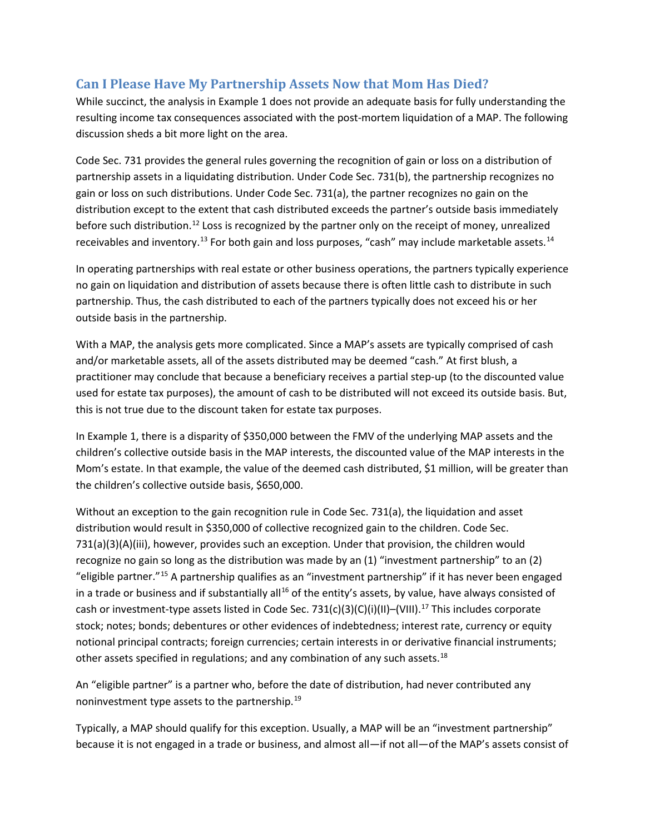## **Can I Please Have My Partnership Assets Now that Mom Has Died?**

While succinct, the analysis in Example 1 does not provide an adequate basis for fully understanding the resulting income tax consequences associated with the post-mortem liquidation of a MAP. The following discussion sheds a bit more light on the area.

Code Sec. 731 provides the general rules governing the recognition of gain or loss on a distribution of partnership assets in a liquidating distribution. Under Code Sec. 731(b), the partnership recognizes no gain or loss on such distributions. Under Code Sec. 731(a), the partner recognizes no gain on the distribution except to the extent that cash distributed exceeds the partner's outside basis immediately before such distribution.<sup>[12](#page-8-10)</sup> Loss is recognized by the partner only on the receipt of money, unrealized receivables and inventory.<sup>[13](#page-8-11)</sup> For both gain and loss purposes, "cash" may include marketable assets.<sup>[14](#page-8-12)</sup>

In operating partnerships with real estate or other business operations, the partners typically experience no gain on liquidation and distribution of assets because there is often little cash to distribute in such partnership. Thus, the cash distributed to each of the partners typically does not exceed his or her outside basis in the partnership.

With a MAP, the analysis gets more complicated. Since a MAP's assets are typically comprised of cash and/or marketable assets, all of the assets distributed may be deemed "cash." At first blush, a practitioner may conclude that because a beneficiary receives a partial step-up (to the discounted value used for estate tax purposes), the amount of cash to be distributed will not exceed its outside basis. But, this is not true due to the discount taken for estate tax purposes.

In Example 1, there is a disparity of \$350,000 between the FMV of the underlying MAP assets and the children's collective outside basis in the MAP interests, the discounted value of the MAP interests in the Mom's estate. In that example, the value of the deemed cash distributed, \$1 million, will be greater than the children's collective outside basis, \$650,000.

Without an exception to the gain recognition rule in Code Sec. 731(a), the liquidation and asset distribution would result in \$350,000 of collective recognized gain to the children. Code Sec. 731(a)(3)(A)(iii), however, provides such an exception. Under that provision, the children would recognize no gain so long as the distribution was made by an (1) "investment partnership" to an (2) "eligible partner."[15](#page-8-13) A partnership qualifies as an "investment partnership" if it has never been engaged in a trade or business and if substantially all<sup>[16](#page-8-14)</sup> of the entity's assets, by value, have always consisted of cash or investment-type assets listed in Code Sec. 731(c)(3)(C)(i)(II)–(VIII).<sup>[17](#page-8-15)</sup> This includes corporate stock; notes; bonds; debentures or other evidences of indebtedness; interest rate, currency or equity notional principal contracts; foreign currencies; certain interests in or derivative financial instruments; other assets specified in regulations; and any combination of any such assets.<sup>[18](#page-8-16)</sup>

An "eligible partner" is a partner who, before the date of distribution, had never contributed any noninvestment type assets to the partnership.[19](#page-8-17)

Typically, a MAP should qualify for this exception. Usually, a MAP will be an "investment partnership" because it is not engaged in a trade or business, and almost all—if not all—of the MAP's assets consist of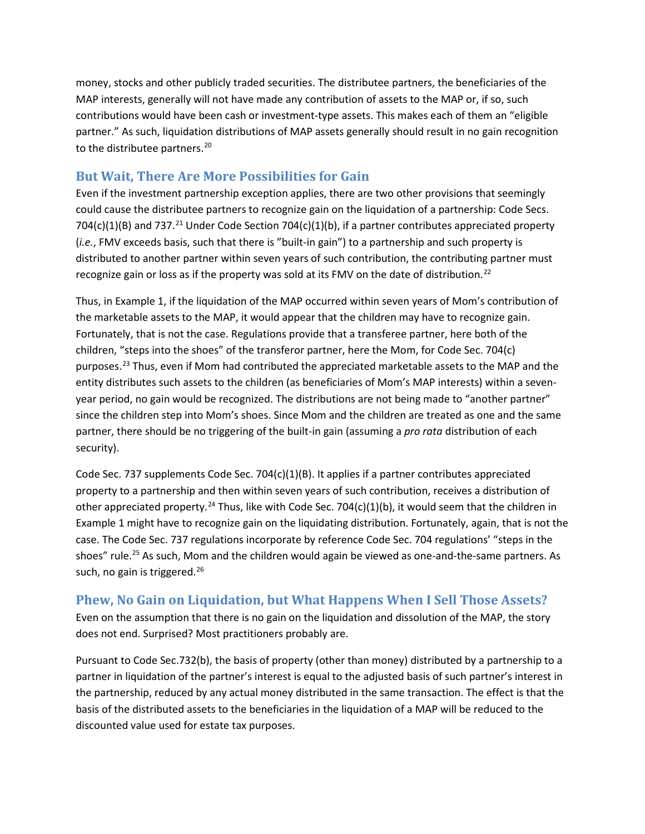money, stocks and other publicly traded securities. The distributee partners, the beneficiaries of the MAP interests, generally will not have made any contribution of assets to the MAP or, if so, such contributions would have been cash or investment-type assets. This makes each of them an "eligible partner." As such, liquidation distributions of MAP assets generally should result in no gain recognition to the distributee partners.<sup>[20](#page-8-18)</sup>

### **But Wait, There Are More Possibilities for Gain**

Even if the investment partnership exception applies, there are two other provisions that seemingly could cause the distributee partners to recognize gain on the liquidation of a partnership: Code Secs. 704(c)(1)(B) and 737.<sup>[21](#page-8-19)</sup> Under Code Section 704(c)(1)(b), if a partner contributes appreciated property (*i.e.*, FMV exceeds basis, such that there is "built-in gain") to a partnership and such property is distributed to another partner within seven years of such contribution, the contributing partner must recognize gain or loss as if the property was sold at its FMV on the date of distribution.<sup>[22](#page-8-20)</sup>

Thus, in Example 1, if the liquidation of the MAP occurred within seven years of Mom's contribution of the marketable assets to the MAP, it would appear that the children may have to recognize gain. Fortunately, that is not the case. Regulations provide that a transferee partner, here both of the children, "steps into the shoes" of the transferor partner, here the Mom, for Code Sec. 704(c) purposes.<sup>[23](#page-8-21)</sup> Thus, even if Mom had contributed the appreciated marketable assets to the MAP and the entity distributes such assets to the children (as beneficiaries of Mom's MAP interests) within a sevenyear period, no gain would be recognized. The distributions are not being made to "another partner" since the children step into Mom's shoes. Since Mom and the children are treated as one and the same partner, there should be no triggering of the built-in gain (assuming a *pro rata* distribution of each security).

Code Sec. 737 supplements Code Sec. 704(c)(1)(B). It applies if a partner contributes appreciated property to a partnership and then within seven years of such contribution, receives a distribution of other appreciated property.<sup>[24](#page-8-22)</sup> Thus, like with Code Sec. 704(c)(1)(b), it would seem that the children in Example 1 might have to recognize gain on the liquidating distribution. Fortunately, again, that is not the case. The Code Sec. 737 regulations incorporate by reference Code Sec. 704 regulations' "steps in the shoes" rule.<sup>[25](#page-8-23)</sup> As such, Mom and the children would again be viewed as one-and-the-same partners. As such, no gain is triggered.<sup>[26](#page-8-24)</sup>

## **Phew, No Gain on Liquidation, but What Happens When I Sell Those Assets?**

Even on the assumption that there is no gain on the liquidation and dissolution of the MAP, the story does not end. Surprised? Most practitioners probably are.

Pursuant to Code Sec.732(b), the basis of property (other than money) distributed by a partnership to a partner in liquidation of the partner's interest is equal to the adjusted basis of such partner's interest in the partnership, reduced by any actual money distributed in the same transaction. The effect is that the basis of the distributed assets to the beneficiaries in the liquidation of a MAP will be reduced to the discounted value used for estate tax purposes.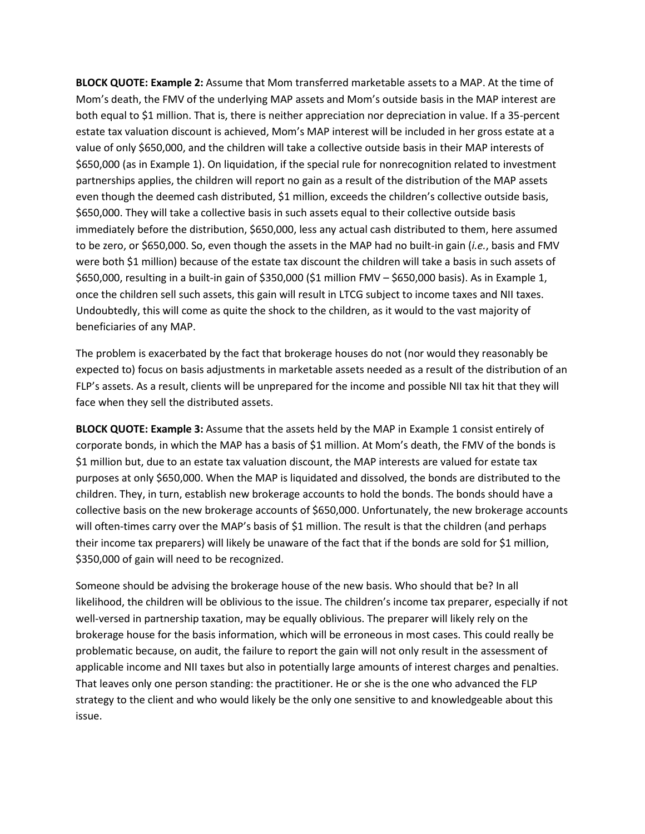**BLOCK QUOTE: Example 2:** Assume that Mom transferred marketable assets to a MAP. At the time of Mom's death, the FMV of the underlying MAP assets and Mom's outside basis in the MAP interest are both equal to \$1 million. That is, there is neither appreciation nor depreciation in value. If a 35-percent estate tax valuation discount is achieved, Mom's MAP interest will be included in her gross estate at a value of only \$650,000, and the children will take a collective outside basis in their MAP interests of \$650,000 (as in Example 1). On liquidation, if the special rule for nonrecognition related to investment partnerships applies, the children will report no gain as a result of the distribution of the MAP assets even though the deemed cash distributed, \$1 million, exceeds the children's collective outside basis, \$650,000. They will take a collective basis in such assets equal to their collective outside basis immediately before the distribution, \$650,000, less any actual cash distributed to them, here assumed to be zero, or \$650,000. So, even though the assets in the MAP had no built-in gain (*i.e.*, basis and FMV were both \$1 million) because of the estate tax discount the children will take a basis in such assets of \$650,000, resulting in a built-in gain of \$350,000 (\$1 million FMV – \$650,000 basis). As in Example 1, once the children sell such assets, this gain will result in LTCG subject to income taxes and NII taxes. Undoubtedly, this will come as quite the shock to the children, as it would to the vast majority of beneficiaries of any MAP.

The problem is exacerbated by the fact that brokerage houses do not (nor would they reasonably be expected to) focus on basis adjustments in marketable assets needed as a result of the distribution of an FLP's assets. As a result, clients will be unprepared for the income and possible NII tax hit that they will face when they sell the distributed assets.

**BLOCK QUOTE: Example 3:** Assume that the assets held by the MAP in Example 1 consist entirely of corporate bonds, in which the MAP has a basis of \$1 million. At Mom's death, the FMV of the bonds is \$1 million but, due to an estate tax valuation discount, the MAP interests are valued for estate tax purposes at only \$650,000. When the MAP is liquidated and dissolved, the bonds are distributed to the children. They, in turn, establish new brokerage accounts to hold the bonds. The bonds should have a collective basis on the new brokerage accounts of \$650,000. Unfortunately, the new brokerage accounts will often-times carry over the MAP's basis of \$1 million. The result is that the children (and perhaps their income tax preparers) will likely be unaware of the fact that if the bonds are sold for \$1 million, \$350,000 of gain will need to be recognized.

Someone should be advising the brokerage house of the new basis. Who should that be? In all likelihood, the children will be oblivious to the issue. The children's income tax preparer, especially if not well-versed in partnership taxation, may be equally oblivious. The preparer will likely rely on the brokerage house for the basis information, which will be erroneous in most cases. This could really be problematic because, on audit, the failure to report the gain will not only result in the assessment of applicable income and NII taxes but also in potentially large amounts of interest charges and penalties. That leaves only one person standing: the practitioner. He or she is the one who advanced the FLP strategy to the client and who would likely be the only one sensitive to and knowledgeable about this issue.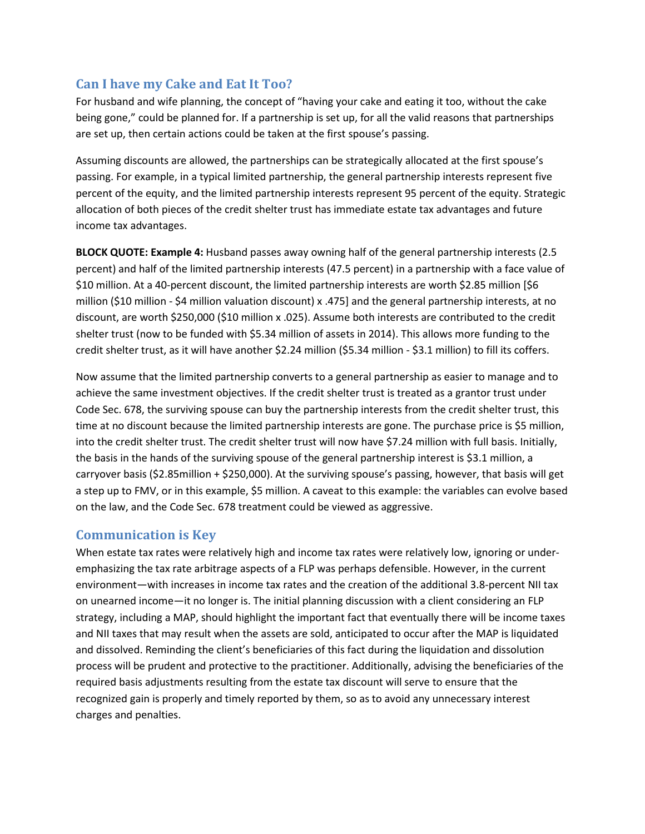# **Can I have my Cake and Eat It Too?**

For husband and wife planning, the concept of "having your cake and eating it too, without the cake being gone," could be planned for. If a partnership is set up, for all the valid reasons that partnerships are set up, then certain actions could be taken at the first spouse's passing.

Assuming discounts are allowed, the partnerships can be strategically allocated at the first spouse's passing. For example, in a typical limited partnership, the general partnership interests represent five percent of the equity, and the limited partnership interests represent 95 percent of the equity. Strategic allocation of both pieces of the credit shelter trust has immediate estate tax advantages and future income tax advantages.

**BLOCK QUOTE: Example 4:** Husband passes away owning half of the general partnership interests (2.5 percent) and half of the limited partnership interests (47.5 percent) in a partnership with a face value of \$10 million. At a 40-percent discount, the limited partnership interests are worth \$2.85 million [\$6 million (\$10 million - \$4 million valuation discount) x .475] and the general partnership interests, at no discount, are worth \$250,000 (\$10 million x .025). Assume both interests are contributed to the credit shelter trust (now to be funded with \$5.34 million of assets in 2014). This allows more funding to the credit shelter trust, as it will have another \$2.24 million (\$5.34 million - \$3.1 million) to fill its coffers.

Now assume that the limited partnership converts to a general partnership as easier to manage and to achieve the same investment objectives. If the credit shelter trust is treated as a grantor trust under Code Sec. 678, the surviving spouse can buy the partnership interests from the credit shelter trust, this time at no discount because the limited partnership interests are gone. The purchase price is \$5 million, into the credit shelter trust. The credit shelter trust will now have \$7.24 million with full basis. Initially, the basis in the hands of the surviving spouse of the general partnership interest is \$3.1 million, a carryover basis (\$2.85million + \$250,000). At the surviving spouse's passing, however, that basis will get a step up to FMV, or in this example, \$5 million. A caveat to this example: the variables can evolve based on the law, and the Code Sec. 678 treatment could be viewed as aggressive.

## **Communication is Key**

When estate tax rates were relatively high and income tax rates were relatively low, ignoring or underemphasizing the tax rate arbitrage aspects of a FLP was perhaps defensible. However, in the current environment—with increases in income tax rates and the creation of the additional 3.8-percent NII tax on unearned income—it no longer is. The initial planning discussion with a client considering an FLP strategy, including a MAP, should highlight the important fact that eventually there will be income taxes and NII taxes that may result when the assets are sold, anticipated to occur after the MAP is liquidated and dissolved. Reminding the client's beneficiaries of this fact during the liquidation and dissolution process will be prudent and protective to the practitioner. Additionally, advising the beneficiaries of the required basis adjustments resulting from the estate tax discount will serve to ensure that the recognized gain is properly and timely reported by them, so as to avoid any unnecessary interest charges and penalties.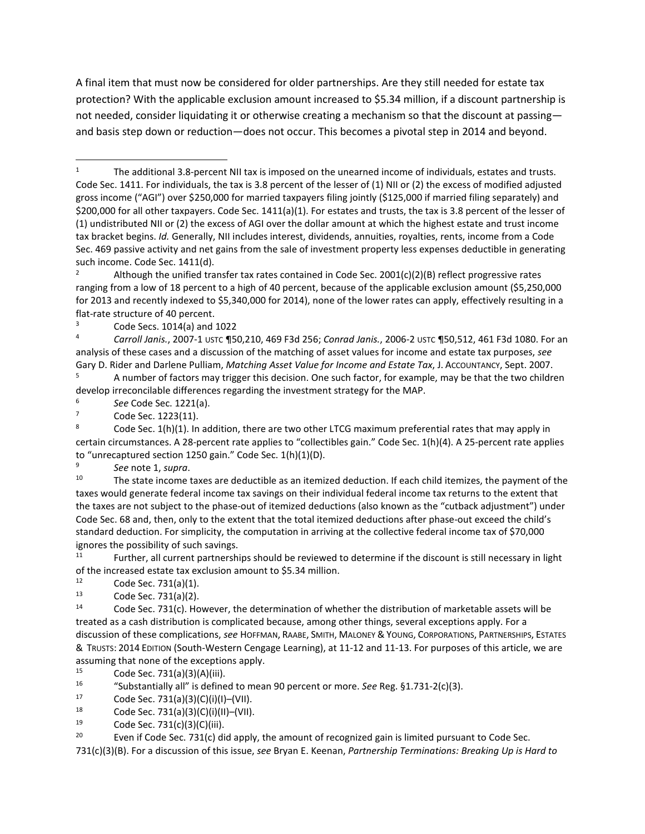A final item that must now be considered for older partnerships. Are they still needed for estate tax protection? With the applicable exclusion amount increased to \$5.34 million, if a discount partnership is not needed, consider liquidating it or otherwise creating a mechanism so that the discount at passing and basis step down or reduction—does not occur. This becomes a pivotal step in 2014 and beyond.

<sup>5</sup> A number of factors may trigger this decision. One such factor, for example, may be that the two children develop irreconcilable differences regarding the investment strategy for the MAP. 6 *See* Code Sec. 1221(a).

<sup>9</sup> *See* note 1, *supra*.

<sup>10</sup> The state income taxes are deductible as an itemized deduction. If each child itemizes, the payment of the taxes would generate federal income tax savings on their individual federal income tax returns to the extent that the taxes are not subject to the phase-out of itemized deductions (also known as the "cutback adjustment") under Code Sec. 68 and, then, only to the extent that the total itemized deductions after phase-out exceed the child's standard deduction. For simplicity, the computation in arriving at the collective federal income tax of \$70,000 ignores the possibility of such savings.<br><sup>11</sup> Further, all current partnerships should be reviewed to determine if the discount is still necessary in light

of the increased estate tax exclusion amount to \$5.34 million.

12 Code Sec. 731(a)(1).<br>
13 Code Sec. 731(a)(2).<br>
14 Code Sec. 731(c). However, the determination of whether the distribution of marketable assets will be treated as a cash distribution is complicated because, among other things, several exceptions apply. For a discussion of these complications, *see* HOFFMAN, RAABE, SMITH, MALONEY & YOUNG, CORPORATIONS, PARTNERSHIPS, ESTATES & TRUSTS: 2014 EDITION (South-Western Cengage Learning), at 11-12 and 11-13. For purposes of this article, we are assuming that none of the exceptions apply.<br> $\frac{15}{15}$  Code Sec.  $\frac{731}{2}$ (2)(4)(4)(iii)

<sup>15</sup> Code Sec. 731(a)(3)(A)(iii).<br><sup>16</sup> "Substantially all" is define

- <sup>16</sup> "Substantially all" is defined to mean 90 percent or more. *See* Reg. §1.731-2(c)(3).<br>
<sup>17</sup> Code Sec. 731(a)(3)(C)(i)(II)–(VII).<br>
<sup>18</sup> Code Sec. 731(a)(3)(C)(i)(III)–(VII).<br>
<sup>19</sup> Code Sec. 731(a)(2)(C)(iii).
- 
- 
- Code Sec. 731(c)(3)(C)(iii).

<span id="page-7-0"></span><sup>&</sup>lt;sup>1</sup> The additional 3.8-percent NII tax is imposed on the unearned income of individuals, estates and trusts. Code Sec. 1411. For individuals, the tax is 3.8 percent of the lesser of (1) NII or (2) the excess of modified adjusted gross income ("AGI") over \$250,000 for married taxpayers filing jointly (\$125,000 if married filing separately) and \$200,000 for all other taxpayers. Code Sec. 1411(a)(1). For estates and trusts, the tax is 3.8 percent of the lesser of (1) undistributed NII or (2) the excess of AGI over the dollar amount at which the highest estate and trust income tax bracket begins. *Id.* Generally, NII includes interest, dividends, annuities, royalties, rents, income from a Code Sec. 469 passive activity and net gains from the sale of investment property less expenses deductible in generating such income. Code Sec. 1411(d).  $\overline{\phantom{a}}$ 

Although the unified transfer tax rates contained in Code Sec. 2001(c)(2)(B) reflect progressive rates ranging from a low of 18 percent to a high of 40 percent, because of the applicable exclusion amount (\$5,250,000 for 2013 and recently indexed to \$5,340,000 for 2014), none of the lower rates can apply, effectively resulting in a flat-rate structure of 40 percent.<br><sup>3</sup> Code Secs. 1014(a) and 1022<br><sup>4</sup> *Carroll Janis.*, 2007-1 USTC ¶50,210, 469 F3d 256; *Conrad Janis.*, 2006-2 USTC ¶50,512, 461 F3d 1080. For an

analysis of these cases and a discussion of the matching of asset values for income and estate tax purposes, *see* Gary D. Rider and Darlene Pulliam, *Matching Asset Value for Income and Estate Tax*, J. ACCOUNTANCY, Sept. 2007.

 $7$  Code Sec. 1223(11).<br>8 Code Sec. 1(h)(1). In addition, there are two other LTCG maximum preferential rates that may apply in certain circumstances. A 28-percent rate applies to "collectibles gain." Code Sec. 1(h)(4). A 25-percent rate applies to "unrecaptured section 1250 gain." Code Sec. 1(h)(1)(D).

<sup>&</sup>lt;sup>20</sup> Even if Code Sec. 731(c) did apply, the amount of recognized gain is limited pursuant to Code Sec. 731(c)(3)(B). For a discussion of this issue, *see* Bryan E. Keenan, *Partnership Terminations: Breaking Up is Hard to*